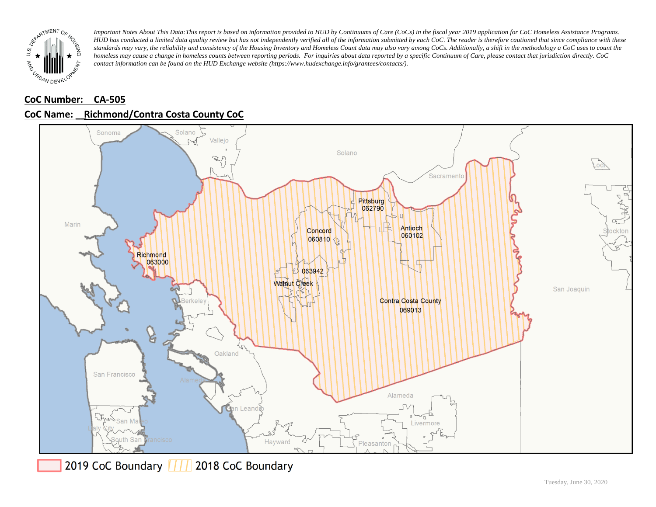

## **CoC Number: CA-505 CoC Name: \_\_ Richmond/Contra Costa County CoC**



2019 CoC Boundary | | | 2018 CoC Boundary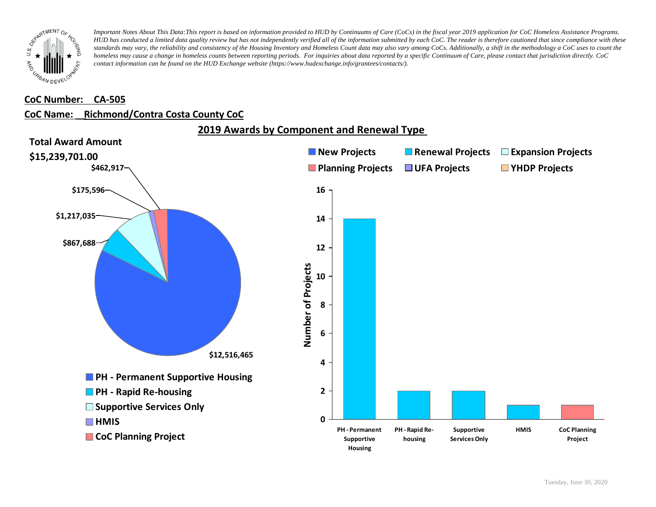

#### **CoC Number: CA-505**

### **CoC Name: \_\_ Richmond/Contra Costa County CoC**



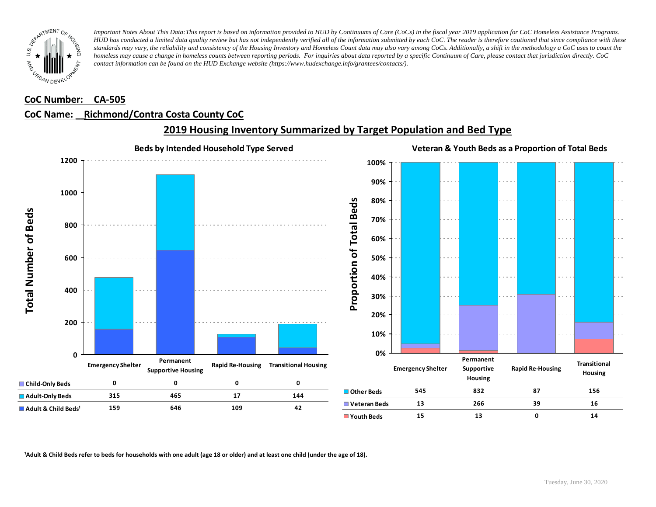

### **CoC Number: CA-505**

### **CoC Name: \_\_ Richmond/Contra Costa County CoC**



### **2019 Housing Inventory Summarized by Target Population and Bed Type**

<sup>1</sup> Adult & Child Beds refer to beds for households with one adult (age 18 or older) and at least one child (under the age of 18).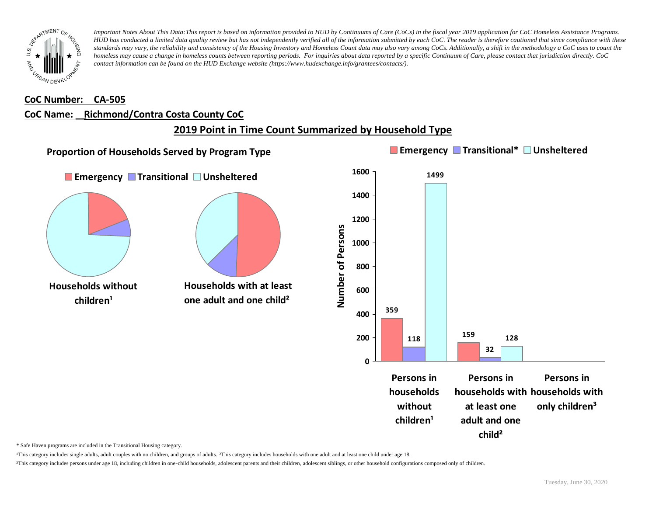

#### **CoC Number: CA-505**

#### **CoC Name: \_\_ Richmond/Contra Costa County CoC**

## **2019 Point in Time Count Summarized by Household Type**



\* Safe Haven programs are included in the Transitional Housing category.

¹This category includes single adults, adult couples with no children, and groups of adults. ²This category includes households with one adult and at least one child under age 18.

³This category includes persons under age 18, including children in one-child households, adolescent parents and their children, adolescent siblings, or other household configurations composed only of children.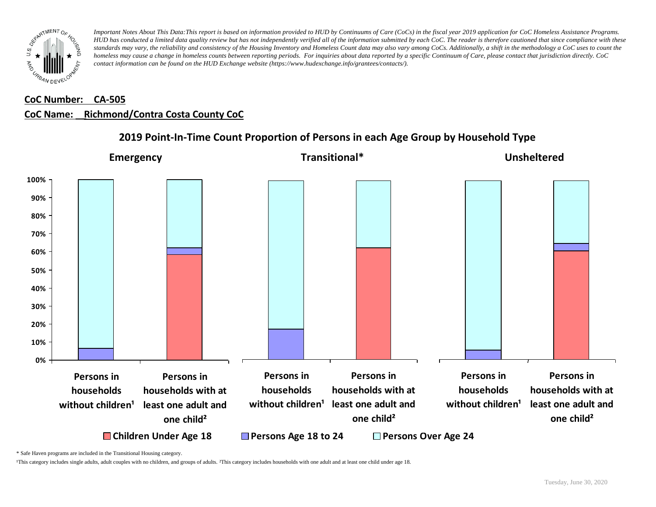

# **CoC Number: CA-505 CoC Name: \_\_ Richmond/Contra Costa County CoC**



### **2019 Point-In-Time Count Proportion of Persons in each Age Group by Household Type**

\* Safe Haven programs are included in the Transitional Housing category.

¹This category includes single adults, adult couples with no children, and groups of adults. ²This category includes households with one adult and at least one child under age 18.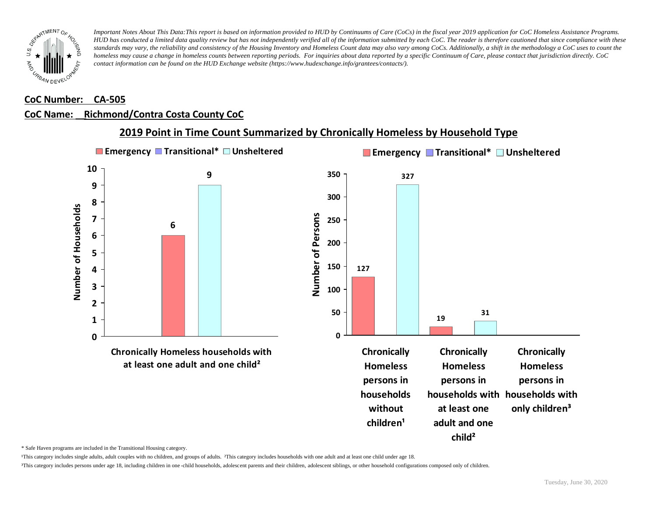

### **CoC Number: CA-505**

### **CoC Name: \_\_ Richmond/Contra Costa County CoC**



## **2019 Point in Time Count Summarized by Chronically Homeless by Household Type**

\* Safe Haven programs are included in the Transitional Housing category.

¹This category includes single adults, adult couples with no children, and groups of adults. ²This category includes households with one adult and at least one child under age 18.

³This category includes persons under age 18, including children in one -child households, adolescent parents and their children, adolescent siblings, or other household configurations composed only of children.